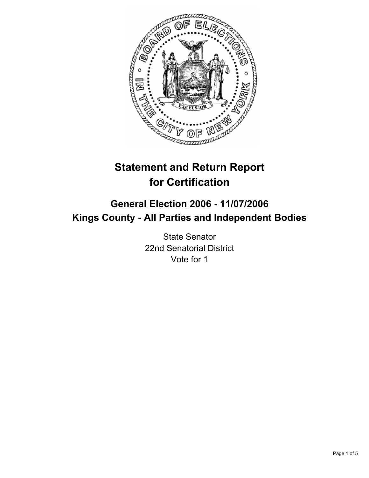

# **Statement and Return Report for Certification**

## **General Election 2006 - 11/07/2006 Kings County - All Parties and Independent Bodies**

State Senator 22nd Senatorial District Vote for 1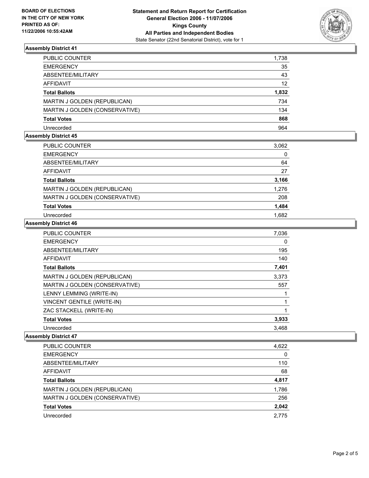

## **Assembly District 41**

| PUBLIC COUNTER                 | 1,738 |
|--------------------------------|-------|
| EMERGENCY                      | 35    |
| ABSENTEE/MILITARY              | 43    |
| AFFIDAVIT                      | 12    |
| Total Ballots                  | 1,832 |
| MARTIN J GOLDEN (REPUBLICAN)   | 734   |
| MARTIN J GOLDEN (CONSERVATIVE) | 134   |
| Total Votes                    | 868   |
| Unrecorded                     | 964   |

#### **Assembly District 45**

| PUBLIC COUNTER                 | 3,062 |
|--------------------------------|-------|
| <b>EMERGENCY</b>               | 0     |
| ABSENTEE/MILITARY              | 64    |
| AFFIDAVIT                      | 27    |
| <b>Total Ballots</b>           | 3,166 |
| MARTIN J GOLDEN (REPUBLICAN)   | 1,276 |
| MARTIN J GOLDEN (CONSERVATIVE) | 208   |
| <b>Total Votes</b>             | 1,484 |
| Unrecorded                     | 1,682 |

#### **Assembly District 46**

| PUBLIC COUNTER                    | 7,036 |
|-----------------------------------|-------|
| <b>EMERGENCY</b>                  | 0     |
| ABSENTEE/MILITARY                 | 195   |
| <b>AFFIDAVIT</b>                  | 140   |
| <b>Total Ballots</b>              | 7,401 |
| MARTIN J GOLDEN (REPUBLICAN)      | 3,373 |
| MARTIN J GOLDEN (CONSERVATIVE)    | 557   |
| LENNY LEMMING (WRITE-IN)          |       |
| <b>VINCENT GENTILE (WRITE-IN)</b> |       |
| ZAC STACKELL (WRITE-IN)           |       |
| <b>Total Votes</b>                | 3,933 |
| Unrecorded                        | 3,468 |

#### **Assembly District 47**

| PUBLIC COUNTER                 | 4,622 |
|--------------------------------|-------|
| <b>EMERGENCY</b>               | 0     |
| ABSENTEE/MILITARY              | 110   |
| <b>AFFIDAVIT</b>               | 68    |
| <b>Total Ballots</b>           | 4,817 |
| MARTIN J GOLDEN (REPUBLICAN)   | 1,786 |
| MARTIN J GOLDEN (CONSERVATIVE) | 256   |
| <b>Total Votes</b>             | 2,042 |
| Unrecorded                     | 2,775 |
|                                |       |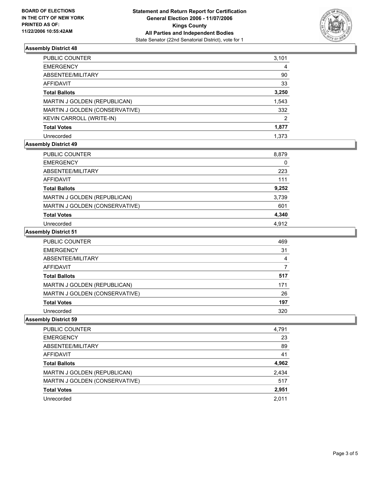

## **Assembly District 48**

| PUBLIC COUNTER                 | 3,101 |
|--------------------------------|-------|
| <b>EMERGENCY</b>               | 4     |
| ABSENTEE/MILITARY              | 90    |
| AFFIDAVIT                      | 33    |
| <b>Total Ballots</b>           | 3,250 |
| MARTIN J GOLDEN (REPUBLICAN)   | 1,543 |
| MARTIN J GOLDEN (CONSERVATIVE) | 332   |
| KEVIN CARROLL (WRITE-IN)       | 2     |
| <b>Total Votes</b>             | 1,877 |
| Unrecorded                     | 1.373 |

## **Assembly District 49**

| <b>PUBLIC COUNTER</b>          | 8,879 |
|--------------------------------|-------|
| <b>EMERGENCY</b>               | 0     |
| ABSENTEE/MILITARY              | 223   |
| AFFIDAVIT                      | 111   |
| <b>Total Ballots</b>           | 9,252 |
| MARTIN J GOLDEN (REPUBLICAN)   | 3,739 |
| MARTIN J GOLDEN (CONSERVATIVE) | 601   |
| <b>Total Votes</b>             | 4,340 |
| Unrecorded                     | 4.912 |

#### **Assembly District 51**

| PUBLIC COUNTER                 | 469 |
|--------------------------------|-----|
| <b>EMERGENCY</b>               | 31  |
| ABSENTEE/MILITARY              |     |
| <b>AFFIDAVIT</b>               |     |
| <b>Total Ballots</b>           | 517 |
| MARTIN J GOLDEN (REPUBLICAN)   | 171 |
| MARTIN J GOLDEN (CONSERVATIVE) | 26  |
| <b>Total Votes</b>             | 197 |
| Unrecorded                     | 320 |

## **Assembly District 59**

| PUBLIC COUNTER<br>4,791               |       |
|---------------------------------------|-------|
| <b>EMERGENCY</b>                      | 23    |
| ABSENTEE/MILITARY                     | 89    |
| AFFIDAVIT                             | 41    |
| <b>Total Ballots</b>                  | 4,962 |
| 2,434<br>MARTIN J GOLDEN (REPUBLICAN) |       |
| MARTIN J GOLDEN (CONSERVATIVE)        | 517   |
| 2,951<br><b>Total Votes</b>           |       |
| 2,011<br>Unrecorded                   |       |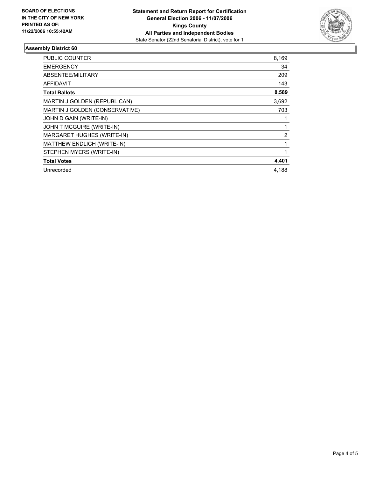![](_page_3_Picture_2.jpeg)

## **Assembly District 60**

| <b>PUBLIC COUNTER</b>          | 8,169 |
|--------------------------------|-------|
| <b>EMERGENCY</b>               | 34    |
| ABSENTEE/MILITARY              | 209   |
| <b>AFFIDAVIT</b>               | 143   |
| <b>Total Ballots</b>           | 8,589 |
| MARTIN J GOLDEN (REPUBLICAN)   | 3,692 |
| MARTIN J GOLDEN (CONSERVATIVE) | 703   |
| JOHN D GAIN (WRITE-IN)         |       |
| JOHN T MCGUIRE (WRITE-IN)      |       |
| MARGARET HUGHES (WRITE-IN)     | 2     |
| MATTHEW ENDLICH (WRITE-IN)     |       |
| STEPHEN MYERS (WRITE-IN)       |       |
| <b>Total Votes</b>             | 4,401 |
| Unrecorded                     | 4.188 |